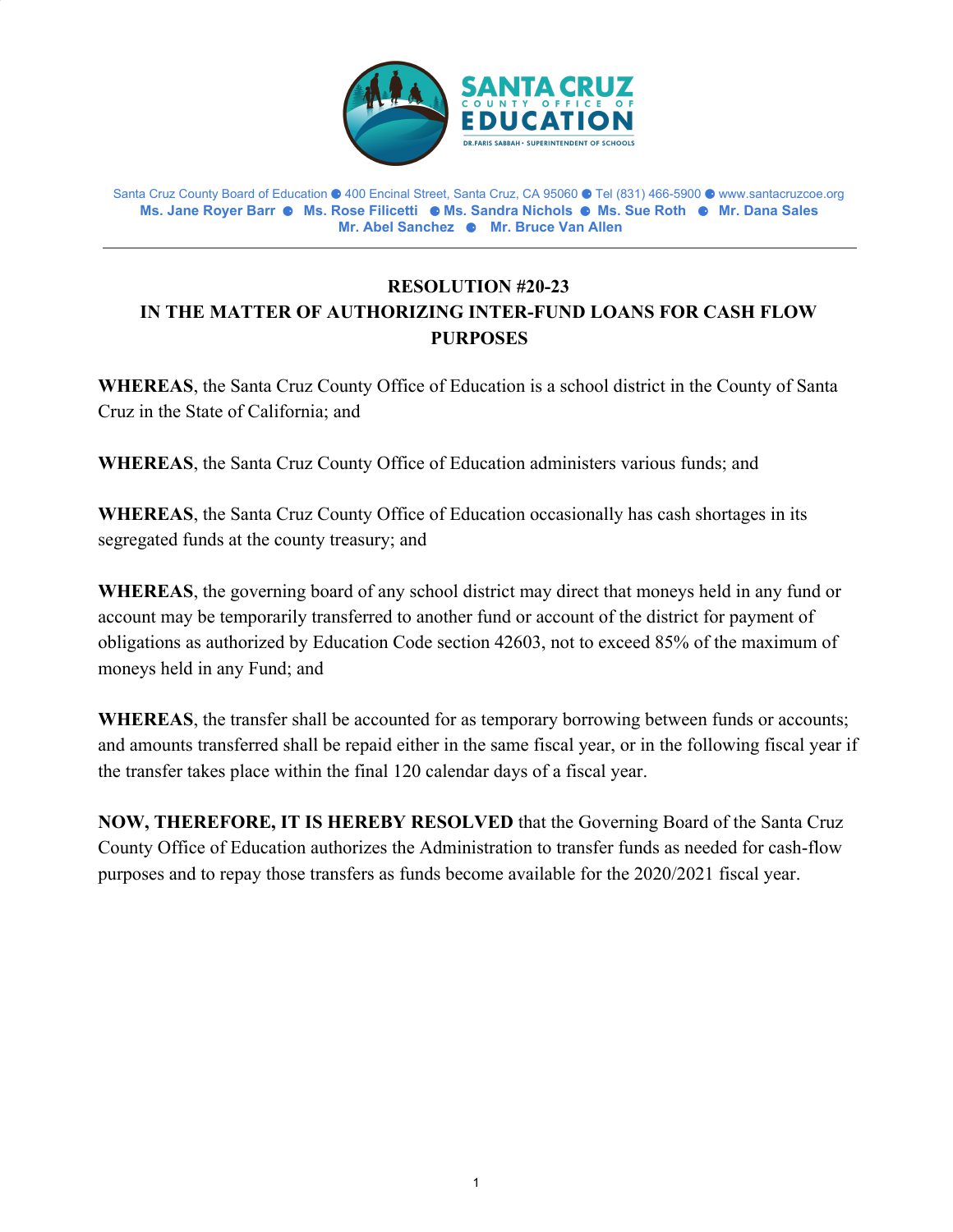

Santa Cruz County Board of Education ⚈ 400 Encinal Street, Santa Cruz, CA 95060 ⚈ Tel (831) 466-5900 ⚈ www.santacruzcoe.org **Ms. Jane Royer Barr** ⚈ **Ms. Rose Filicetti** ⚈ **Ms. Sandra Nichols** ⚈ **Ms. Sue Roth** ⚈ **Mr. Dana Sales Mr. Abel Sanchez** ⚈ **Mr. Bruce Van Allen**

## **RESOLUTION #20-23 IN THE MATTER OF AUTHORIZING INTER-FUND LOANS FOR CASH FLOW PURPOSES**

**WHEREAS**, the Santa Cruz County Office of Education is a school district in the County of Santa Cruz in the State of California; and

**WHEREAS**, the Santa Cruz County Office of Education administers various funds; and

**WHEREAS**, the Santa Cruz County Office of Education occasionally has cash shortages in its segregated funds at the county treasury; and

**WHEREAS**, the governing board of any school district may direct that moneys held in any fund or account may be temporarily transferred to another fund or account of the district for payment of obligations as authorized by Education Code section 42603, not to exceed 85% of the maximum of moneys held in any Fund; and

**WHEREAS**, the transfer shall be accounted for as temporary borrowing between funds or accounts; and amounts transferred shall be repaid either in the same fiscal year, or in the following fiscal year if the transfer takes place within the final 120 calendar days of a fiscal year.

**NOW, THEREFORE, IT IS HEREBY RESOLVED** that the Governing Board of the Santa Cruz County Office of Education authorizes the Administration to transfer funds as needed for cash-flow purposes and to repay those transfers as funds become available for the 2020/2021 fiscal year.